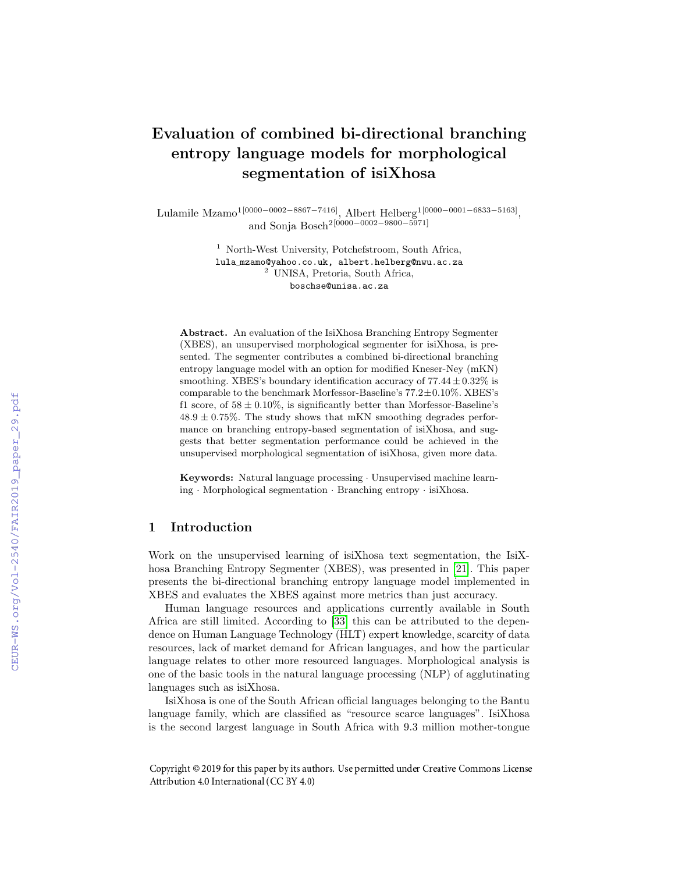# Evaluation of combined bi-directional branching entropy language models for morphological segmentation of isiXhosa

Lulamile Mzamo1[0000−0002−8867−7416], Albert Helberg1[0000−0001−6833−5163], <sub>1</sub>, Albert Reinerg<sup>-10</sup><br>and Sonja Bosch<sup>2[0000–0002–9800–5971]</sup>

> <sup>1</sup> North-West University, Potchefstroom, South Africa, lula mzamo@yahoo.co.uk, albert.helberg@nwu.ac.za <sup>2</sup> UNISA, Pretoria, South Africa, boschse@unisa.ac.za

Abstract. An evaluation of the IsiXhosa Branching Entropy Segmenter (XBES), an unsupervised morphological segmenter for isiXhosa, is presented. The segmenter contributes a combined bi-directional branching entropy language model with an option for modified Kneser-Ney (mKN) smoothing. XBES's boundary identification accuracy of  $77.44 \pm 0.32\%$  is comparable to the benchmark Morfessor-Baseline's 77.2±0.10%. XBES's f1 score, of  $58 \pm 0.10\%$ , is significantly better than Morfessor-Baseline's  $48.9 \pm 0.75\%$ . The study shows that mKN smoothing degrades performance on branching entropy-based segmentation of isiXhosa, and suggests that better segmentation performance could be achieved in the unsupervised morphological segmentation of isiXhosa, given more data.

Keywords: Natural language processing · Unsupervised machine learning · Morphological segmentation · Branching entropy · isiXhosa.

# 1 Introduction

Work on the unsupervised learning of isiXhosa text segmentation, the IsiXhosa Branching Entropy Segmenter (XBES), was presented in [21]. This paper presents the bi-directional branching entropy language model implemented in XBES and evaluates the XBES against more metrics than just accuracy.

Human language resources and applications currently available in South Africa are still limited. According to  $\boxed{33}$  this can be attributed to the dependence on Human Language Technology (HLT) expert knowledge, scarcity of data resources, lack of market demand for African languages, and how the particular language relates to other more resourced languages. Morphological analysis is one of the basic tools in the natural language processing (NLP) of agglutinating languages such as isiXhosa.

IsiXhosa is one of the South African official languages belonging to the Bantu language family, which are classified as "resource scarce languages". IsiXhosa is the second largest language in South Africa with 9.3 million mother-tongue

Copyright © 2019 for this paper by its authors. Use permitted under Creative Commons License Attribution 4.0 International (CC BY 4.0)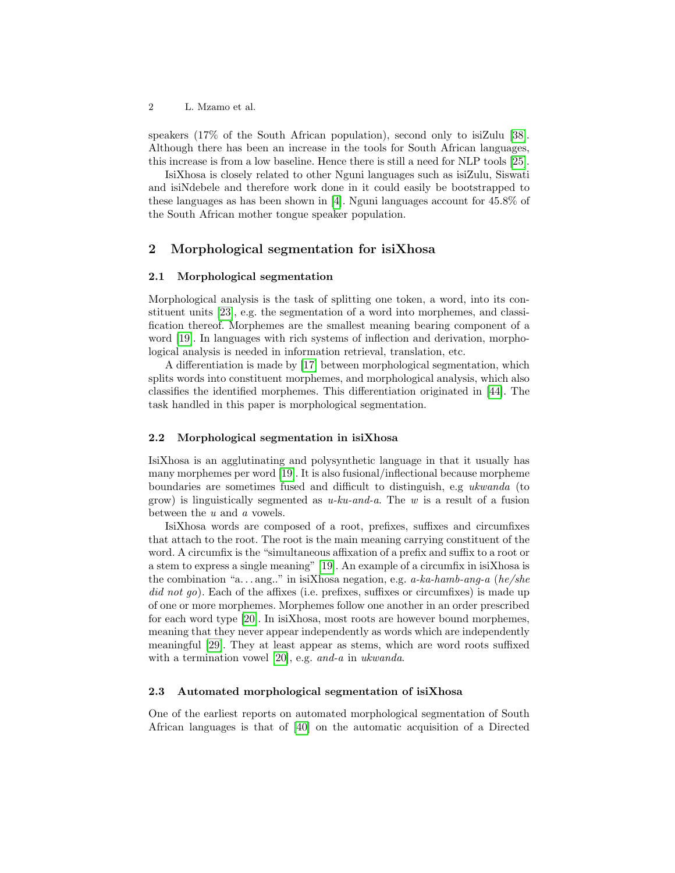speakers (17% of the South African population), second only to isiZulu [38]. Although there has been an increase in the tools for South African languages, this increase is from a low baseline. Hence there is still a need for NLP tools [25].

IsiXhosa is closely related to other Nguni languages such as isiZulu, Siswati and isiNdebele and therefore work done in it could easily be bootstrapped to these languages as has been shown in  $\overline{4}$ . Nguni languages account for 45.8% of the South African mother tongue speaker population.

### 2 Morphological segmentation for isiXhosa

#### 2.1 Morphological segmentation

Morphological analysis is the task of splitting one token, a word, into its constituent units  $\left[23\right]$ , e.g. the segmentation of a word into morphemes, and classification thereof. Morphemes are the smallest meaning bearing component of a word [19]. In languages with rich systems of inflection and derivation, morphological analysis is needed in information retrieval, translation, etc.

A differentiation is made by [17] between morphological segmentation, which splits words into constituent morphemes, and morphological analysis, which also classifies the identified morphemes. This differentiation originated in [44]. The task handled in this paper is morphological segmentation.

### 2.2 Morphological segmentation in isiXhosa

IsiXhosa is an agglutinating and polysynthetic language in that it usually has many morphemes per word  $\boxed{19}$ . It is also fusional/inflectional because morpheme boundaries are sometimes fused and difficult to distinguish, e.g ukwanda (to grow) is linguistically segmented as  $u\text{-}ku\text{-}and\text{-}a$ . The w is a result of a fusion between the u and a vowels.

IsiXhosa words are composed of a root, prefixes, suffixes and circumfixes that attach to the root. The root is the main meaning carrying constituent of the word. A circumfix is the "simultaneous affixation of a prefix and suffix to a root or a stem to express a single meaning" [19]. An example of a circumfix in isiXhosa is the combination "a...ang.." in isiXhosa negation, e.g.  $a$ -ka-hamb-ang-a (he/she did not go). Each of the affixes (i.e. prefixes, suffixes or circumfixes) is made up of one or more morphemes. Morphemes follow one another in an order prescribed for each word type  $\boxed{20}$ . In isiXhosa, most roots are however bound morphemes, meaning that they never appear independently as words which are independently meaningful [29]. They at least appear as stems, which are word roots suffixed with a termination vowel  $[20]$ , e.g. and-a in ukwanda.

#### 2.3 Automated morphological segmentation of isiXhosa

One of the earliest reports on automated morphological segmentation of South African languages is that of  $\boxed{40}$  on the automatic acquisition of a Directed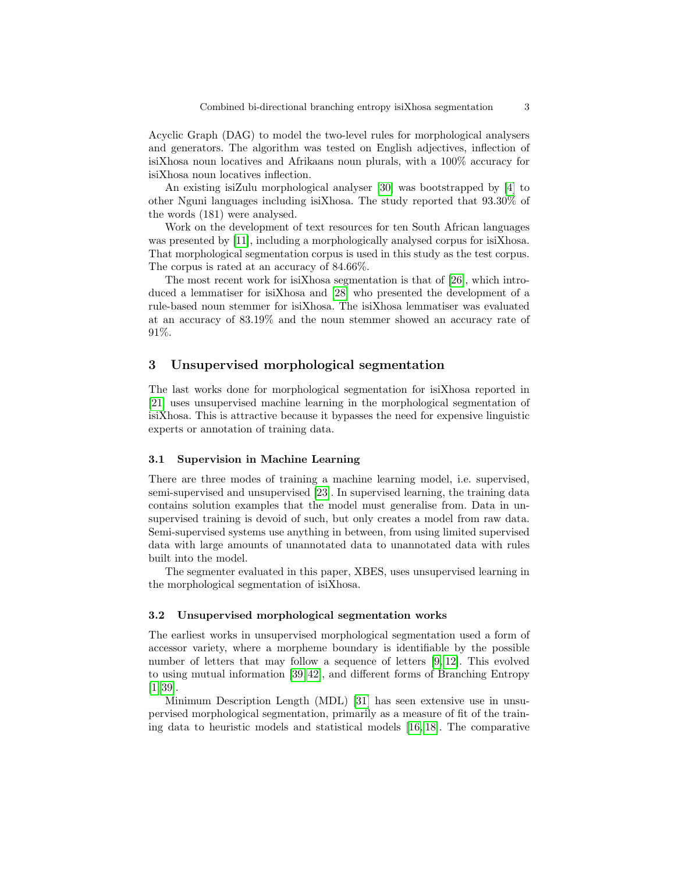Acyclic Graph (DAG) to model the two-level rules for morphological analysers and generators. The algorithm was tested on English adjectives, inflection of isiXhosa noun locatives and Afrikaans noun plurals, with a 100% accuracy for isiXhosa noun locatives inflection.

An existing isiZulu morphological analyser  $\overline{30}$  was bootstrapped by  $\overline{4}$  to other Nguni languages including is Xhosa. The study reported that  $93.30\%$  of the words (181) were analysed.

Work on the development of text resources for ten South African languages was presented by  $[11]$ , including a morphologically analysed corpus for isiXhosa. That morphological segmentation corpus is used in this study as the test corpus. The corpus is rated at an accuracy of 84.66%.

The most recent work for isiXhosa segmentation is that of  $[26]$ , which introduced a lemmatiser for isiXhosa and [28] who presented the development of a rule-based noun stemmer for isiXhosa. The isiXhosa lemmatiser was evaluated at an accuracy of 83.19% and the noun stemmer showed an accuracy rate of 91%.

# 3 Unsupervised morphological segmentation

The last works done for morphological segmentation for isiXhosa reported in [21] uses unsupervised machine learning in the morphological segmentation of isiXhosa. This is attractive because it bypasses the need for expensive linguistic experts or annotation of training data.

#### 3.1 Supervision in Machine Learning

There are three modes of training a machine learning model, i.e. supervised, semi-supervised and unsupervised [23]. In supervised learning, the training data contains solution examples that the model must generalise from. Data in unsupervised training is devoid of such, but only creates a model from raw data. Semi-supervised systems use anything in between, from using limited supervised data with large amounts of unannotated data to unannotated data with rules built into the model.

The segmenter evaluated in this paper, XBES, uses unsupervised learning in the morphological segmentation of isiXhosa.

#### 3.2 Unsupervised morphological segmentation works

The earliest works in unsupervised morphological segmentation used a form of accessor variety, where a morpheme boundary is identifiable by the possible number of letters that may follow a sequence of letters  $\boxed{9, 12}$ . This evolved to using mutual information  $\left[39/42\right]$ , and different forms of Branching Entropy  $[1]$   $[39]$ .

Minimum Description Length (MDL) [31] has seen extensive use in unsupervised morphological segmentation, primarily as a measure of fit of the training data to heuristic models and statistical models  $[16, 18]$ . The comparative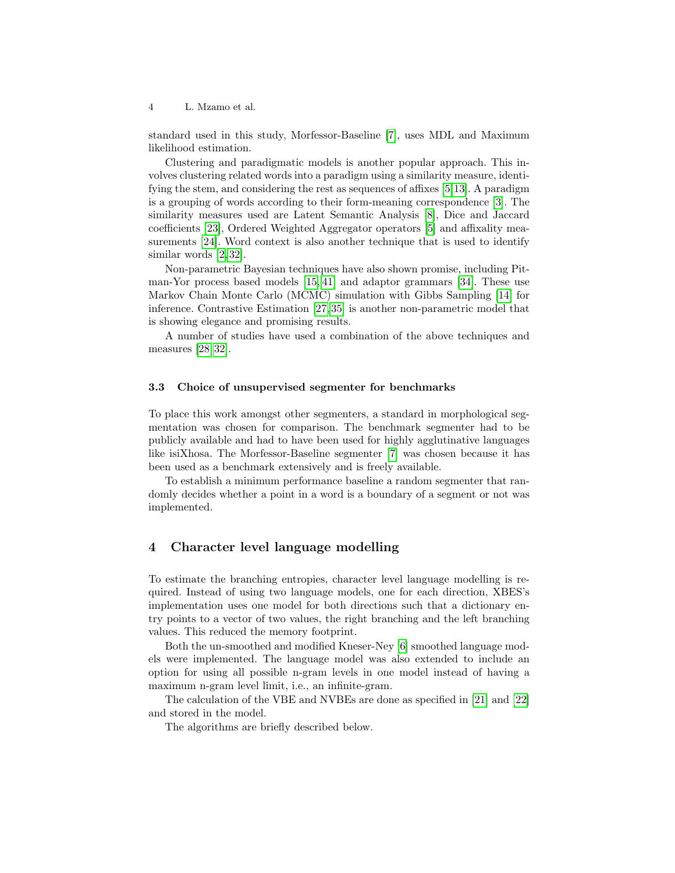standard used in this study, Morfessor-Baseline [7], uses MDL and Maximum likelihood estimation.

Clustering and paradigmatic models is another popular approach. This involves clustering related words into a paradigm using a similarity measure, identifying the stem, and considering the rest as sequences of affixes  $\overline{5}$ , and  $\overline{5}$ , and  $\overline{2}$ is a grouping of words according to their form-meaning correspondence [3]. The similarity measures used are Latent Semantic Analysis [8], Dice and Jaccard coefficients [23], Ordered Weighted Aggregator operators [5] and affixality measurements  $\boxed{24}$ . Word context is also another technique that is used to identify similar words  $[2|32]$ .

Non-parametric Bayesian techniques have also shown promise, including Pitman-Yor process based models  $\left[15\right]\left[41\right]$  and adaptor grammars  $\left[34\right]$ . These use Markov Chain Monte Carlo  $(M\overline{CMC})$  simulation with Gibbs Sampling [14] for inference. Contrastive Estimation  $\sqrt{27/35}$  is another non-parametric model that is showing elegance and promising results.

A number of studies have used a combination of the above techniques and measures  $[28]$  32.

### 3.3 Choice of unsupervised segmenter for benchmarks

To place this work amongst other segmenters, a standard in morphological segmentation was chosen for comparison. The benchmark segmenter had to be publicly available and had to have been used for highly agglutinative languages like isiXhosa. The Morfessor-Baseline segmenter [7] was chosen because it has been used as a benchmark extensively and is freely available.

To establish a minimum performance baseline a random segmenter that randomly decides whether a point in a word is a boundary of a segment or not was implemented.

# 4 Character level language modelling

To estimate the branching entropies, character level language modelling is required. Instead of using two language models, one for each direction, XBES's implementation uses one model for both directions such that a dictionary entry points to a vector of two values, the right branching and the left branching values. This reduced the memory footprint.

Both the un-smoothed and modified Kneser-Ney [6] smoothed language models were implemented. The language model was also extended to include an option for using all possible n-gram levels in one model instead of having a maximum n-gram level limit, i.e., an infinite-gram.

The calculation of the VBE and NVBEs are done as specified in [21] and [22] and stored in the model.

The algorithms are briefly described below.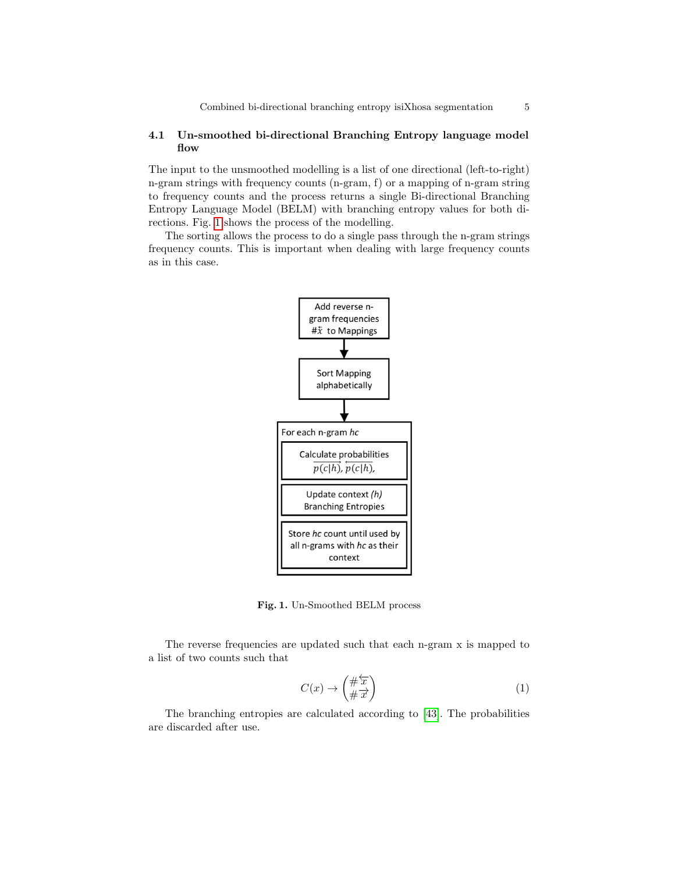### 4.1 Un-smoothed bi-directional Branching Entropy language model flow

The input to the unsmoothed modelling is a list of one directional (left-to-right) n-gram strings with frequency counts (n-gram, f) or a mapping of n-gram string to frequency counts and the process returns a single Bi-directional Branching Entropy Language Model (BELM) with branching entropy values for both directions. Fig.  $\boxed{1}$  shows the process of the modelling.

The sorting allows the process to do a single pass through the n-gram strings frequency counts. This is important when dealing with large frequency counts as in this case.



Fig. 1. Un-Smoothed BELM process

The reverse frequencies are updated such that each n-gram x is mapped to a list of two counts such that

$$
C(x) \to \left(\frac{\#\overleftarrow{x}}{\#\overrightarrow{x}}\right) \tag{1}
$$

The branching entropies are calculated according to  $\boxed{43}$ . The probabilities are discarded after use.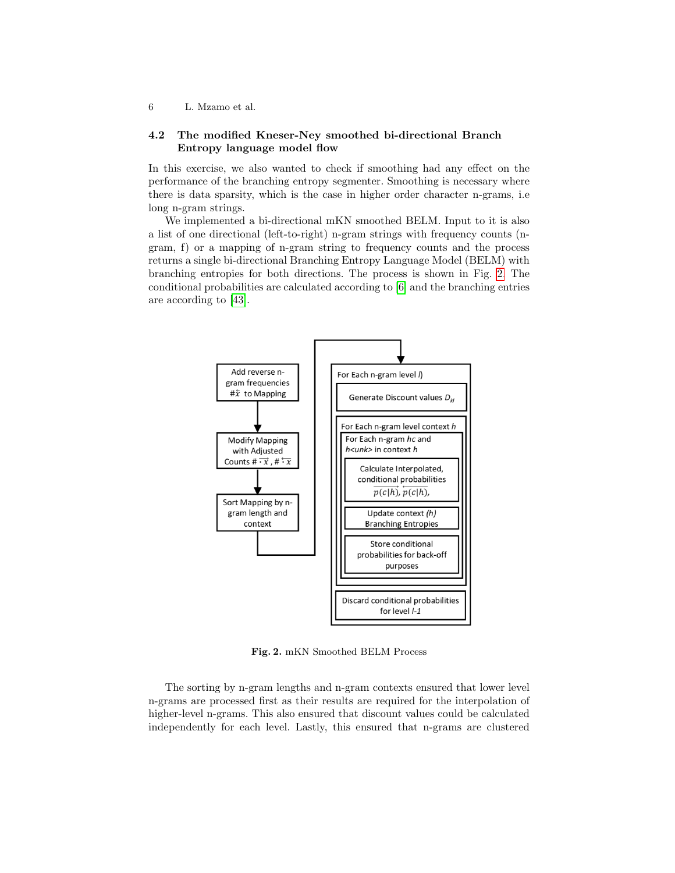### 4.2 The modified Kneser-Ney smoothed bi-directional Branch Entropy language model flow

In this exercise, we also wanted to check if smoothing had any effect on the performance of the branching entropy segmenter. Smoothing is necessary where there is data sparsity, which is the case in higher order character n-grams, i.e long n-gram strings.

We implemented a bi-directional mKN smoothed BELM. Input to it is also a list of one directional (left-to-right) n-gram strings with frequency counts (ngram, f) or a mapping of n-gram string to frequency counts and the process returns a single bi-directional Branching Entropy Language Model (BELM) with branching entropies for both directions. The process is shown in Fig.  $\boxed{2}$ . The conditional probabilities are calculated according to  $\boxed{6}$  and the branching entries are according to [43].



Fig. 2. mKN Smoothed BELM Process

The sorting by n-gram lengths and n-gram contexts ensured that lower level n-grams are processed first as their results are required for the interpolation of higher-level n-grams. This also ensured that discount values could be calculated independently for each level. Lastly, this ensured that n-grams are clustered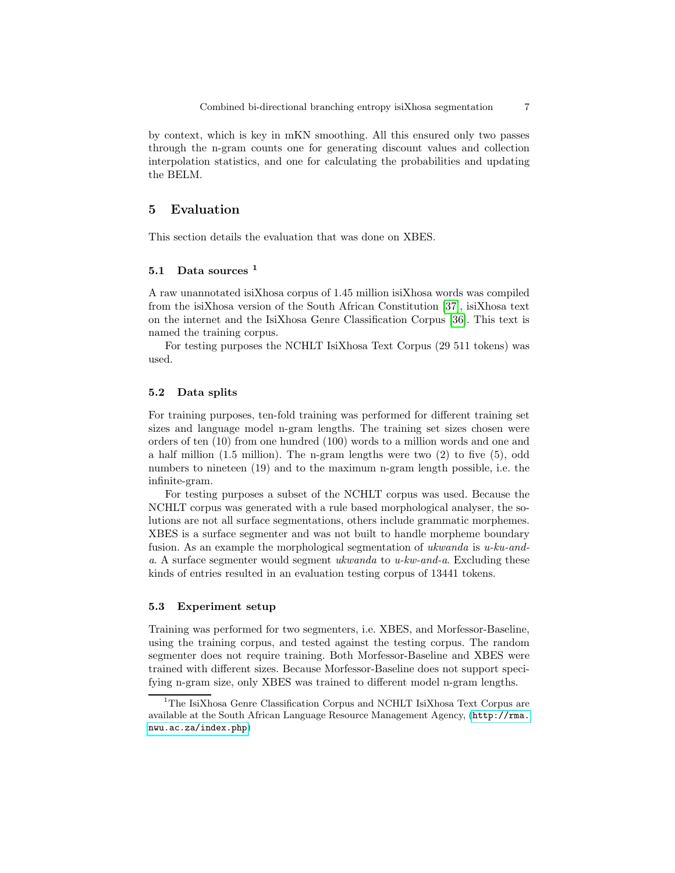by context, which is key in mKN smoothing. All this ensured only two passes through the n-gram counts one for generating discount values and collection interpolation statistics, and one for calculating the probabilities and updating the BELM.

# 5 Evaluation

This section details the evaluation that was done on XBES.

### 5.1 Data sources <sup>1</sup>

A raw unannotated isiXhosa corpus of 1.45 million isiXhosa words was compiled from the isiXhosa version of the South African Constitution [37], isiXhosa text on the internet and the IsiXhosa Genre Classification Corpus [36]. This text is named the training corpus.

For testing purposes the NCHLT IsiXhosa Text Corpus (29 511 tokens) was used.

### 5.2 Data splits

For training purposes, ten-fold training was performed for different training set sizes and language model n-gram lengths. The training set sizes chosen were orders of ten (10) from one hundred (100) words to a million words and one and a half million (1.5 million). The n-gram lengths were two (2) to five (5), odd numbers to nineteen (19) and to the maximum n-gram length possible, i.e. the infinite-gram.

For testing purposes a subset of the NCHLT corpus was used. Because the NCHLT corpus was generated with a rule based morphological analyser, the solutions are not all surface segmentations, others include grammatic morphemes. XBES is a surface segmenter and was not built to handle morpheme boundary fusion. As an example the morphological segmentation of ukwanda is u-ku-anda. A surface segmenter would segment ukwanda to u-kw-and-a. Excluding these kinds of entries resulted in an evaluation testing corpus of 13441 tokens.

#### 5.3 Experiment setup

Training was performed for two segmenters, i.e. XBES, and Morfessor-Baseline, using the training corpus, and tested against the testing corpus. The random segmenter does not require training. Both Morfessor-Baseline and XBES were trained with different sizes. Because Morfessor-Baseline does not support specifying n-gram size, only XBES was trained to different model n-gram lengths.

 $\rm ^1The$ IsiXhosa Genre Classification Corpus and NCHLT IsiXhosa Text Corpus are available at the South African Language Resource Management Agency, (http://rma. nwu.ac.za/index.php)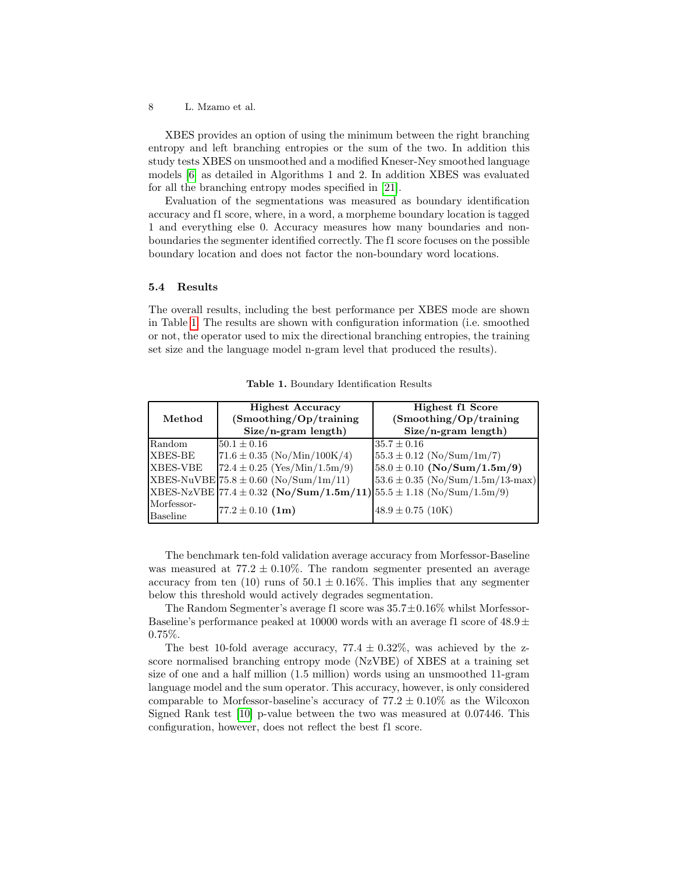XBES provides an option of using the minimum between the right branching entropy and left branching entropies or the sum of the two. In addition this study tests XBES on unsmoothed and a modified Kneser-Ney smoothed language models  $\overline{6}$  as detailed in Algorithms 1 and 2. In addition XBES was evaluated for all the branching entropy modes specified in [21].

Evaluation of the segmentations was measured as boundary identification accuracy and f1 score, where, in a word, a morpheme boundary location is tagged 1 and everything else 0. Accuracy measures how many boundaries and nonboundaries the segmenter identified correctly. The f1 score focuses on the possible boundary location and does not factor the non-boundary word locations.

#### 5.4 Results

The overall results, including the best performance per XBES mode are shown in Table 1. The results are shown with configuration information (i.e. smoothed or not, the operator used to mix the directional branching entropies, the training set size and the language model n-gram level that produced the results).

| Method        | <b>Highest Accuracy</b><br>(Smoothing / Op / training)              | Highest f1 Score<br>(Smoothing / Op / training) |
|---------------|---------------------------------------------------------------------|-------------------------------------------------|
|               | $Size/n-gram$ length)                                               | $Size/n-gram$ length)                           |
| <b>Random</b> | $50.1 \pm 0.16$                                                     | $35.7 \pm 0.16$                                 |
| XBES-BE       | $71.6 \pm 0.35$ (No/Min/100K/4)                                     | $55.3 \pm 0.12$ (No/Sum/1m/7)                   |
| XBES-VBE      | $72.4 \pm 0.25$ (Yes/Min/1.5m/9)                                    | $58.0 \pm 0.10$ (No/Sum/1.5m/9)                 |
|               | $XBES-NuVBE 75.8 \pm 0.60$ (No/Sum/1m/11)                           | $53.6 \pm 0.35$ (No/Sum/1.5m/13-max)            |
|               | XBES-NzVBE 77.4 ± 0.32 (No/Sum/1.5m/11) 55.5 ± 1.18 (No/Sum/1.5m/9) |                                                 |
| Morfessor-    |                                                                     |                                                 |
| Baseline      | $77.2 \pm 0.10$ (1m)                                                | $48.9 \pm 0.75$ (10K)                           |

Table 1. Boundary Identification Results

The benchmark ten-fold validation average accuracy from Morfessor-Baseline was measured at  $77.2 \pm 0.10\%$ . The random segmenter presented an average accuracy from ten (10) runs of  $50.1 \pm 0.16\%$ . This implies that any segmenter below this threshold would actively degrades segmentation.

The Random Segmenter's average f1 score was  $35.7\pm0.16\%$  whilst Morfessor-Baseline's performance peaked at 10000 words with an average f1 score of  $48.9\pm$ 0.75%.

The best 10-fold average accuracy, 77.4  $\pm$  0.32%, was achieved by the zscore normalised branching entropy mode (NzVBE) of XBES at a training set size of one and a half million (1.5 million) words using an unsmoothed 11-gram language model and the sum operator. This accuracy, however, is only considered comparable to Morfessor-baseline's accuracy of  $77.2 \pm 0.10\%$  as the Wilcoxon Signed Rank test  $\boxed{10}$  p-value between the two was measured at 0.07446. This configuration, however, does not reflect the best f1 score.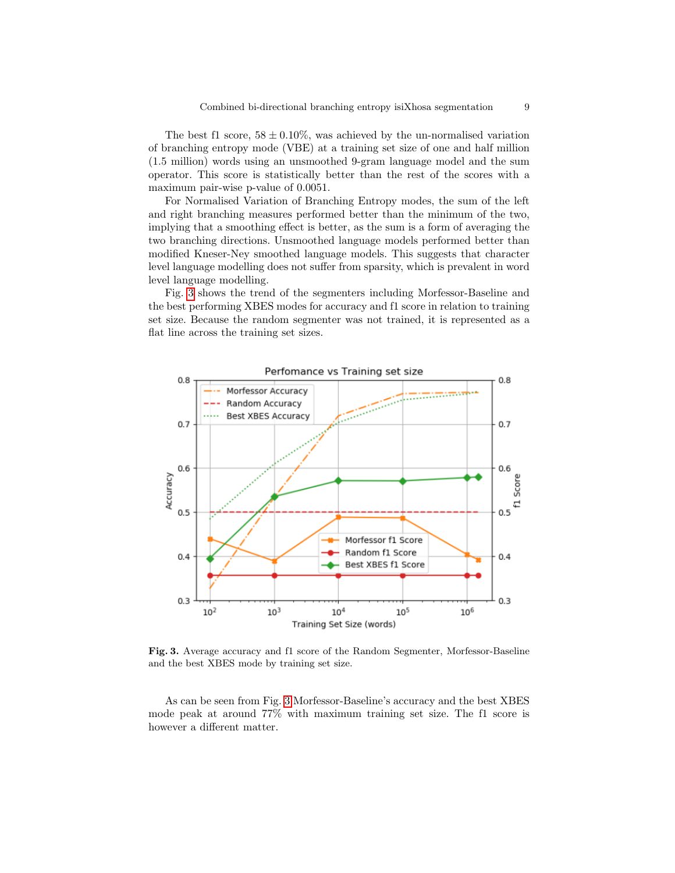The best f1 score,  $58 \pm 0.10\%$ , was achieved by the un-normalised variation of branching entropy mode (VBE) at a training set size of one and half million (1.5 million) words using an unsmoothed 9-gram language model and the sum operator. This score is statistically better than the rest of the scores with a maximum pair-wise p-value of 0.0051.

For Normalised Variation of Branching Entropy modes, the sum of the left and right branching measures performed better than the minimum of the two, implying that a smoothing effect is better, as the sum is a form of averaging the two branching directions. Unsmoothed language models performed better than modified Kneser-Ney smoothed language models. This suggests that character level language modelling does not suffer from sparsity, which is prevalent in word level language modelling.

Fig. 3 shows the trend of the segmenters including Morfessor-Baseline and the best performing XBES modes for accuracy and f1 score in relation to training set size. Because the random segmenter was not trained, it is represented as a flat line across the training set sizes.



Fig. 3. Average accuracy and f1 score of the Random Segmenter, Morfessor-Baseline and the best XBES mode by training set size.

As can be seen from Fig. 3 Morfessor-Baseline's accuracy and the best XBES mode peak at around 77% with maximum training set size. The f1 score is however a different matter.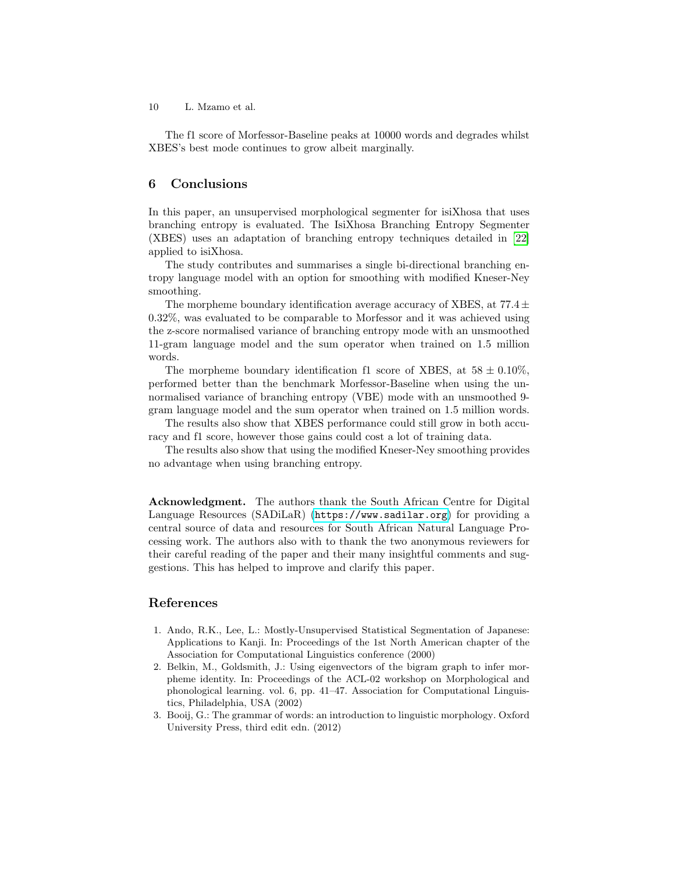The f1 score of Morfessor-Baseline peaks at 10000 words and degrades whilst XBES's best mode continues to grow albeit marginally.

### 6 Conclusions

In this paper, an unsupervised morphological segmenter for isiXhosa that uses branching entropy is evaluated. The IsiXhosa Branching Entropy Segmenter (XBES) uses an adaptation of branching entropy techniques detailed in [22] applied to isiXhosa.

The study contributes and summarises a single bi-directional branching entropy language model with an option for smoothing with modified Kneser-Ney smoothing.

The morpheme boundary identification average accuracy of XBES, at  $77.4 \pm$ 0.32%, was evaluated to be comparable to Morfessor and it was achieved using the z-score normalised variance of branching entropy mode with an unsmoothed 11-gram language model and the sum operator when trained on 1.5 million words.

The morpheme boundary identification f1 score of XBES, at  $58 \pm 0.10\%$ , performed better than the benchmark Morfessor-Baseline when using the unnormalised variance of branching entropy (VBE) mode with an unsmoothed 9 gram language model and the sum operator when trained on 1.5 million words.

The results also show that XBES performance could still grow in both accuracy and f1 score, however those gains could cost a lot of training data.

The results also show that using the modified Kneser-Ney smoothing provides no advantage when using branching entropy.

Acknowledgment. The authors thank the South African Centre for Digital Language Resources (SADiLaR) (https://www.sadilar.org) for providing a central source of data and resources for South African Natural Language Processing work. The authors also with to thank the two anonymous reviewers for their careful reading of the paper and their many insightful comments and suggestions. This has helped to improve and clarify this paper.

# References

- 1. Ando, R.K., Lee, L.: Mostly-Unsupervised Statistical Segmentation of Japanese: Applications to Kanji. In: Proceedings of the 1st North American chapter of the Association for Computational Linguistics conference (2000)
- 2. Belkin, M., Goldsmith, J.: Using eigenvectors of the bigram graph to infer morpheme identity. In: Proceedings of the ACL-02 workshop on Morphological and phonological learning. vol. 6, pp. 41–47. Association for Computational Linguistics, Philadelphia, USA (2002)
- 3. Booij, G.: The grammar of words: an introduction to linguistic morphology. Oxford University Press, third edit edn. (2012)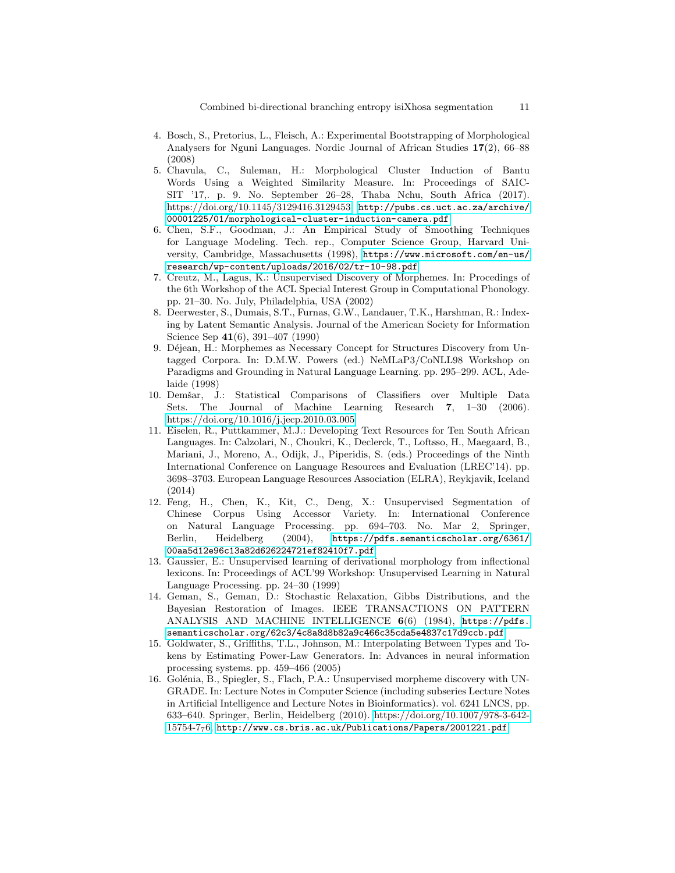- 4. Bosch, S., Pretorius, L., Fleisch, A.: Experimental Bootstrapping of Morphological Analysers for Nguni Languages. Nordic Journal of African Studies 17(2), 66–88 (2008)
- 5. Chavula, C., Suleman, H.: Morphological Cluster Induction of Bantu Words Using a Weighted Similarity Measure. In: Proceedings of SAIC-SIT '17,. p. 9. No. September 26–28, Thaba Nchu, South Africa (2017). https://doi.org/10.1145/3129416.3129453, http://pubs.cs.uct.ac.za/archive/ 00001225/01/morphological-cluster-induction-camera.pdf
- 6. Chen, S.F., Goodman, J.: An Empirical Study of Smoothing Techniques for Language Modeling. Tech. rep., Computer Science Group, Harvard University, Cambridge, Massachusetts (1998), https://www.microsoft.com/en-us/ research/wp-content/uploads/2016/02/tr-10-98.pdf
- 7. Creutz, M., Lagus, K.: Unsupervised Discovery of Morphemes. In: Procedings of the 6th Workshop of the ACL Special Interest Group in Computational Phonology. pp. 21–30. No. July, Philadelphia, USA (2002)
- 8. Deerwester, S., Dumais, S.T., Furnas, G.W., Landauer, T.K., Harshman, R.: Indexing by Latent Semantic Analysis. Journal of the American Society for Information Science Sep 41(6), 391–407 (1990)
- 9. Déjean, H.: Morphemes as Necessary Concept for Structures Discovery from Untagged Corpora. In: D.M.W. Powers (ed.) NeMLaP3/CoNLL98 Workshop on Paradigms and Grounding in Natural Language Learning. pp. 295–299. ACL, Adelaide (1998)
- 10. Demšar, J.: Statistical Comparisons of Classifiers over Multiple Data Sets. The Journal of Machine Learning Research 7, 1–30 (2006). https://doi.org/10.1016/j.jecp.2010.03.005
- 11. Eiselen, R., Puttkammer, M.J.: Developing Text Resources for Ten South African Languages. In: Calzolari, N., Choukri, K., Declerck, T., Loftsso, H., Maegaard, B., Mariani, J., Moreno, A., Odijk, J., Piperidis, S. (eds.) Proceedings of the Ninth International Conference on Language Resources and Evaluation (LREC'14). pp. 3698–3703. European Language Resources Association (ELRA), Reykjavik, Iceland (2014)
- 12. Feng, H., Chen, K., Kit, C., Deng, X.: Unsupervised Segmentation of Chinese Corpus Using Accessor Variety. In: International Conference on Natural Language Processing. pp. 694–703. No. Mar 2, Springer, Berlin, Heidelberg (2004), https://pdfs.semanticscholar.org/6361/ 00aa5d12e96c13a82d626224721ef82410f7.pdf
- 13. Gaussier, E.: Unsupervised learning of derivational morphology from inflectional lexicons. In: Proceedings of ACL'99 Workshop: Unsupervised Learning in Natural Language Processing. pp. 24–30 (1999)
- 14. Geman, S., Geman, D.: Stochastic Relaxation, Gibbs Distributions, and the Bayesian Restoration of Images. IEEE TRANSACTIONS ON PATTERN ANALYSIS AND MACHINE INTELLIGENCE 6(6) (1984), https://pdfs. semanticscholar.org/62c3/4c8a8d8b82a9c466c35cda5e4837c17d9ccb.pdf
- 15. Goldwater, S., Griffiths, T.L., Johnson, M.: Interpolating Between Types and Tokens by Estimating Power-Law Generators. In: Advances in neural information processing systems. pp. 459–466 (2005)
- 16. Golénia, B., Spiegler, S., Flach, P.A.: Unsupervised morpheme discovery with UN-GRADE. In: Lecture Notes in Computer Science (including subseries Lecture Notes in Artificial Intelligence and Lecture Notes in Bioinformatics). vol. 6241 LNCS, pp. 633–640. Springer, Berlin, Heidelberg (2010). https://doi.org/10.1007/978-3-642- 15754-776, http://www.cs.bris.ac.uk/Publications/Papers/2001221.pdf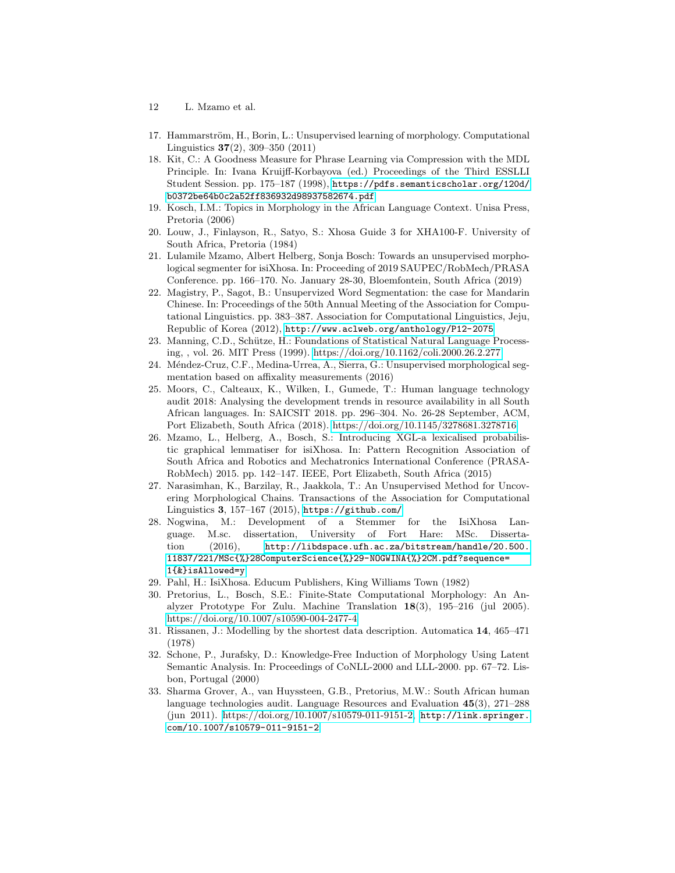- 12 L. Mzamo et al.
- 17. Hammarström, H., Borin, L.: Unsupervised learning of morphology. Computational Linguistics 37(2), 309–350 (2011)
- 18. Kit, C.: A Goodness Measure for Phrase Learning via Compression with the MDL Principle. In: Ivana Kruijff-Korbayova (ed.) Proceedings of the Third ESSLLI Student Session. pp. 175–187 (1998), https://pdfs.semanticscholar.org/120d/ b0372be64b0c2a52ff836932d98937582674.pdf
- 19. Kosch, I.M.: Topics in Morphology in the African Language Context. Unisa Press, Pretoria (2006)
- 20. Louw, J., Finlayson, R., Satyo, S.: Xhosa Guide 3 for XHA100-F. University of South Africa, Pretoria (1984)
- 21. Lulamile Mzamo, Albert Helberg, Sonja Bosch: Towards an unsupervised morphological segmenter for isiXhosa. In: Proceeding of 2019 SAUPEC/RobMech/PRASA Conference. pp. 166–170. No. January 28-30, Bloemfontein, South Africa (2019)
- 22. Magistry, P., Sagot, B.: Unsupervized Word Segmentation: the case for Mandarin Chinese. In: Proceedings of the 50th Annual Meeting of the Association for Computational Linguistics. pp. 383–387. Association for Computational Linguistics, Jeju, Republic of Korea (2012), http://www.aclweb.org/anthology/P12-2075
- 23. Manning, C.D., Schütze, H.: Foundations of Statistical Natural Language Processing, , vol. 26. MIT Press (1999). https://doi.org/10.1162/coli.2000.26.2.277
- 24. Méndez-Cruz, C.F., Medina-Urrea, A., Sierra, G.: Unsupervised morphological segmentation based on affixality measurements (2016)
- 25. Moors, C., Calteaux, K., Wilken, I., Gumede, T.: Human language technology audit 2018: Analysing the development trends in resource availability in all South African languages. In: SAICSIT 2018. pp. 296–304. No. 26-28 September, ACM, Port Elizabeth, South Africa (2018). https://doi.org/10.1145/3278681.3278716
- 26. Mzamo, L., Helberg, A., Bosch, S.: Introducing XGL-a lexicalised probabilistic graphical lemmatiser for isiXhosa. In: Pattern Recognition Association of South Africa and Robotics and Mechatronics International Conference (PRASA-RobMech) 2015. pp. 142–147. IEEE, Port Elizabeth, South Africa (2015)
- 27. Narasimhan, K., Barzilay, R., Jaakkola, T.: An Unsupervised Method for Uncovering Morphological Chains. Transactions of the Association for Computational Linguistics 3, 157–167 (2015), https://github.com/
- 28. Nogwina, M.: Development of a Stemmer for the IsiXhosa Language. M.sc. dissertation, University of Fort Hare: MSc. Dissertation (2016), http://libdspace.ufh.ac.za/bitstream/handle/20.500. 11837/221/MSc{%}28ComputerScience{%}29-NOGWINA{%}2CM.pdf?sequence= 1{&}isAllowed=y
- 29. Pahl, H.: IsiXhosa. Educum Publishers, King Williams Town (1982)
- 30. Pretorius, L., Bosch, S.E.: Finite-State Computational Morphology: An Analyzer Prototype For Zulu. Machine Translation 18(3), 195–216 (jul 2005). https://doi.org/10.1007/s10590-004-2477-4
- 31. Rissanen, J.: Modelling by the shortest data description. Automatica 14, 465–471 (1978)
- 32. Schone, P., Jurafsky, D.: Knowledge-Free Induction of Morphology Using Latent Semantic Analysis. In: Proceedings of CoNLL-2000 and LLL-2000. pp. 67–72. Lisbon, Portugal (2000)
- 33. Sharma Grover, A., van Huyssteen, G.B., Pretorius, M.W.: South African human language technologies audit. Language Resources and Evaluation 45(3), 271–288 (jun 2011). https://doi.org/10.1007/s10579-011-9151-2, http://link.springer. com/10.1007/s10579-011-9151-2